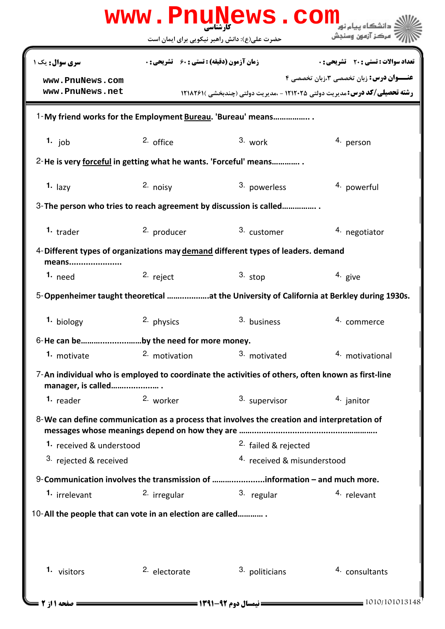| www.PnuNews.com                                                                                                         |                                                    |                                        |                                                                                                                                     |  |  |
|-------------------------------------------------------------------------------------------------------------------------|----------------------------------------------------|----------------------------------------|-------------------------------------------------------------------------------------------------------------------------------------|--|--|
|                                                                                                                         | حضرت علی(ع): دانش راهبر نیکویی برای ایمان است      |                                        | ' مرڪز آزمون وسنڊش                                                                                                                  |  |  |
| <b>سری سوال :</b> یک ۱                                                                                                  | <b>زمان آزمون (دقیقه) : تستی : 60 ٪ تشریحی : 0</b> |                                        | <b>تعداد سوالات : تستی : 20 ٪ تشریحی : 0</b>                                                                                        |  |  |
| www.PnuNews.com<br>www.PnuNews.net                                                                                      |                                                    |                                        | <b>عنـــوان درس:</b> زبان تخصصی 3،زبان تخصصی ۴<br><b>رشته تحصیلی/کد درس:</b> مدیریت دولتی 1212005 - .مدیریت دولتی (چندبخشی )1218291 |  |  |
| 1-My friend works for the Employment Bureau. 'Bureau' means                                                             |                                                    |                                        |                                                                                                                                     |  |  |
| 1. job                                                                                                                  | 2. office                                          | $3.$ work                              | 4. person                                                                                                                           |  |  |
| 2-He is very forceful in getting what he wants. 'Forceful' means                                                        |                                                    |                                        |                                                                                                                                     |  |  |
| 1. $_{\text{lazy}}$                                                                                                     | 2. noisy                                           | 3. powerless                           | <sup>4</sup> powerful                                                                                                               |  |  |
| 3-The person who tries to reach agreement by discussion is called                                                       |                                                    |                                        |                                                                                                                                     |  |  |
| 1. trader                                                                                                               | 2. producer                                        | 3. customer                            | 4. negotiator                                                                                                                       |  |  |
| 4-Different types of organizations may demand different types of leaders. demand<br>means                               |                                                    |                                        |                                                                                                                                     |  |  |
| 1. $need$                                                                                                               | 2. reject                                          | $3.$ stop                              | 4. give                                                                                                                             |  |  |
| 5-Oppenheimer taught theoretical at the University of California at Berkley during 1930s.                               |                                                    |                                        |                                                                                                                                     |  |  |
| 1. biology                                                                                                              | 2. physics                                         | 3. business                            | <sup>4.</sup> commerce                                                                                                              |  |  |
| 6-He can beby the need for more money.                                                                                  |                                                    |                                        |                                                                                                                                     |  |  |
| 1. motivate                                                                                                             | 2. motivation                                      | 3. motivated                           | 4. motivational                                                                                                                     |  |  |
| 7-An individual who is employed to coordinate the activities of others, often known as first-line<br>manager, is called |                                                    |                                        |                                                                                                                                     |  |  |
| 1. reader                                                                                                               | 2. worker                                          | 3. supervisor                          | 4. janitor                                                                                                                          |  |  |
| 8-We can define communication as a process that involves the creation and interpretation of                             |                                                    |                                        |                                                                                                                                     |  |  |
| 1. received & understood                                                                                                |                                                    | <sup>2.</sup> failed & rejected        |                                                                                                                                     |  |  |
| <sup>3.</sup> rejected & received                                                                                       |                                                    | <sup>4.</sup> received & misunderstood |                                                                                                                                     |  |  |
| 9-Communication involves the transmission of information - and much more.                                               |                                                    |                                        |                                                                                                                                     |  |  |
| 1. irrelevant                                                                                                           | 2. irregular                                       | 3. regular                             | 4. relevant                                                                                                                         |  |  |
| 10-All the people that can vote in an election are called                                                               |                                                    |                                        |                                                                                                                                     |  |  |
| 1. visitors                                                                                                             | <sup>2.</sup> electorate                           | 3. politicians                         | 4. consultants<br>1010/101013148                                                                                                    |  |  |